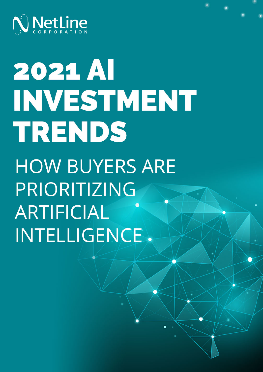

# **2021 AI** INVESTMENT TRENDS **HOW BUYERS ARE** PRIORITIZING **ARTIFICIAL** INTELLIGENCE.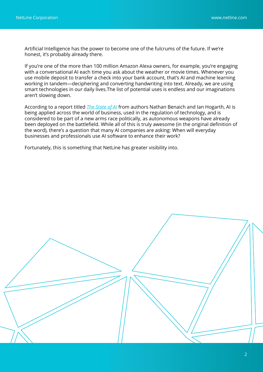Artificial Intelligence has the power to become one of the fulcrums of the future. If we're honest, it's probably already there.

If you're one of the more than 100 million Amazon Alexa owners, for example, you're engaging with a conversational AI each time you ask about the weather or movie times. Whenever you use mobile deposit to transfer a check into your bank account, that's AI and machine learning working in tandem—deciphering and converting handwriting into text. Already, we are using smart technologies in our daily lives.The list of potential uses is endless and our imaginations aren't slowing down.

According to a report titled *[The State of AI](https://docs.google.com/presentation/d/1bwJDRC777rAf00Drthi9yT2c9b0MabWO5ZlksfvFzx8/edit#slide=id.gf171287819_0_242)* from authors Nathan Benaich and Ian Hogarth, AI is being applied across the world of business, used in the regulation of technology, and is considered to be part of a new arms race politically, as autonomous weapons have already been deployed on the battlefield. While all of this is truly awesome (in the original definition of the word), there's a question that many AI companies are asking: When will everyday businesses and professionals use AI software to enhance their work?

Fortunately, this is something that NetLine has greater visibility into.

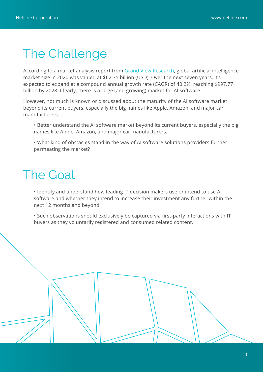### The Challenge

According to a market analysis report from [Grand View Research](https://www.grandviewresearch.com/industry-analysis/artificial-intelligence-ai-market), global artificial intelligence market size in 2020 was valued at \$62.35 billion (USD). Over the next seven years, it's expected to expand at a compound annual growth rate (CAGR) of 40.2%, reaching \$997.77 billion by 2028. Clearly, there is a large (and growing) market for AI software.

However, not much is known or discussed about the maturity of the AI software market beyond its current buyers, especially the big names like Apple, Amazon, and major car manufacturers.

• Better understand the AI software market beyond its current buyers, especially the big names like Apple, Amazon, and major car manufacturers.

• What kind of obstacles stand in the way of AI software solutions providers further permeating the market?

## The Goal

• Identify and understand how leading IT decision makers use or intend to use AI software and whether they intend to increase their investment any further within the next 12 months and beyond.

• Such observations should exclusively be captured via first-party interactions with IT buyers as they voluntarily registered and consumed related content.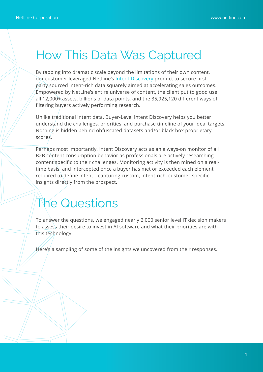#### How This Data Was Captured

By tapping into dramatic scale beyond the limitations of their own content, our customer leveraged NetLine's [Intent Discovery](https://www.netline.com/intent-discovery.html?utm_source=content&utm_medium=blog&utm_campaign=210817blgcloudtrid&utm_id=210817blgcloudtrid) product to secure firstparty sourced intent-rich data squarely aimed at accelerating sales outcomes. Empowered by NetLine's entire universe of content, the client put to good use all 12,000+ assets, billions of data points, and the 35,925,120 different ways of filtering buyers actively performing research.

Unlike traditional intent data, Buyer-Level intent Discovery helps you better understand the challenges, priorities, and purchase timeline of your ideal targets. Nothing is hidden behind obfuscated datasets and/or black box proprietary scores.

Perhaps most importantly, Intent Discovery acts as an always-on monitor of all B2B content consumption behavior as professionals are actively researching content specific to their challenges. Monitoring activity is then mined on a realtime basis, and intercepted once a buyer has met or exceeded each element required to define intent—capturing custom, intent-rich, customer-specific insights directly from the prospect.

#### The Questions

To answer the questions, we engaged nearly 2,000 senior level IT decision makers to assess their desire to invest in AI software and what their priorities are with this technology.

Here's a sampling of some of the insights we uncovered from their responses.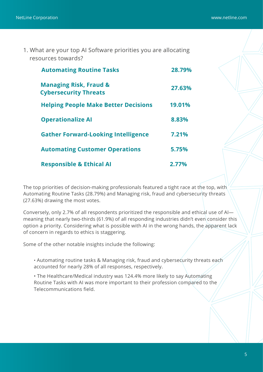1. What are your top AI Software priorities you are allocating resources towards?

| <b>Automating Routine Tasks</b>                                   | 28.79% |
|-------------------------------------------------------------------|--------|
| <b>Managing Risk, Fraud &amp;</b><br><b>Cybersecurity Threats</b> | 27.63% |
| <b>Helping People Make Better Decisions</b>                       | 19.01% |
| <b>Operationalize AI</b>                                          | 8.83%  |
| <b>Gather Forward-Looking Intelligence</b>                        | 7.21%  |
| <b>Automating Customer Operations</b>                             | 5.75%  |
| <b>Responsible &amp; Ethical AI</b>                               | 2.77%  |

The top priorities of decision-making professionals featured a tight race at the top, with Automating Routine Tasks (28.79%) and Managing risk, fraud and cybersecurity threats (27.63%) drawing the most votes.

Conversely, only 2.7% of all respondents prioritized the responsible and ethical use of AI meaning that nearly two-thirds (61.9%) of all responding industries didn't even consider this option a priority. Considering what is possible with AI in the wrong hands, the apparent lack of concern in regards to ethics is staggering.

Some of the other notable insights include the following:

• Automating routine tasks & Managing risk, fraud and cybersecurity threats each accounted for nearly 28% of all responses, respectively.

• The Healthcare/Medical industry was 124.4% more likely to say Automating Routine Tasks with AI was more important to their profession compared to the Telecommunications field.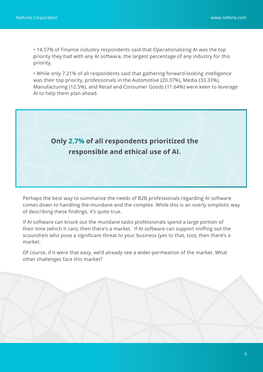• 14.57% of Finance industry respondents said that Operationalizing AI was the top priority they had with any AI software, the largest percentage of any industry for this priority.

• While only 7.21% of all respondents said that gathering forward-looking intelligence was their top priority, professionals in the Automotive (20.37%), Media (33.33%), Manufacturing (12.5%), and Retail and Consumer Goods (11.64%) were keen to leverage AI to help them plan ahead.



Perhaps the best way to summarize the needs of B2B professionals regarding AI software comes down to handling the mundane and the complex. While this is an overly simplistic way of describing these findings, it's quite true.

If AI software can knock out the mundane tasks professionals spend a large portion of their time (which it can), then there's a market. If AI software can support sniffing out the scoundrels who pose a significant threat to your business (yes to that, too), then there's a market.

Of course, if it were that easy, we'd already see a wider-permeation of the market. What other challenges face this market?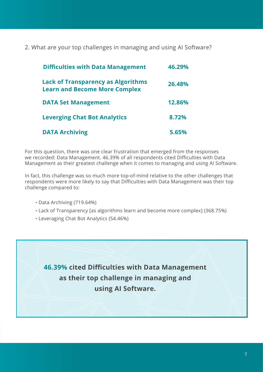2. What are your top challenges in managing and using AI Software?

| <b>Difficulties with Data Management</b>                                          | 46.29% |
|-----------------------------------------------------------------------------------|--------|
| <b>Lack of Transparency as Algorithms</b><br><b>Learn and Become More Complex</b> | 26.48% |
| <b>DATA Set Management</b>                                                        | 12.86% |
| <b>Leverging Chat Bot Analytics</b>                                               | 8.72%  |
| <b>DATA Archiving</b>                                                             | 5.65%  |

For this question, there was one clear frustration that emerged from the responses we recorded: Data Management. 46.39% of all respondents cited Difficulties with Data Management as their greatest challenge when it comes to managing and using AI Software.

In fact, this challenge was so much more top-of-mind relative to the other challenges that respondents were more likely to say that Difficulties with Data Management was their top challenge compared to:

- Data Archiving (719.64%)
- Lack of Transparency [as algorithms learn and become more complex] (368.75%)
- Leveraging Chat Bot Analytics (54.46%)

**46.39% cited Difficulties with Data Management as their top challenge in managing and using AI Software.**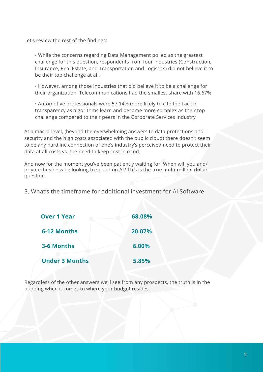Let's review the rest of the findings:

• While the concerns regarding Data Management polled as the greatest challenge for this question, respondents from four industries (Construction, Insurance, Real Estate, and Transportation and Logistics) did not believe it to be their top challenge at all.

• However, among those industries that did believe it to be a challenge for their organization, Telecommunications had the smallest share with 16.67%

• Automotive professionals were 57.14% more likely to cite the Lack of transparency as algorithms learn and become more complex as their top challenge compared to their peers in the Corporate Services industry

At a macro-level, (beyond the overwhelming answers to data protections and security and the high costs associated with the public cloud) there doesn't seem to be any hardline connection of one's industry's perceived need to protect their data at all costs vs. the need to keep cost in mind.

And now for the moment you've been patiently waiting for: When will you and/ or your business be looking to spend on AI? This is the true multi-million dollar question.

3. What's the timeframe for additional investment for AI Software

| <b>Over 1 Year</b>    | 68.08% |
|-----------------------|--------|
| 6-12 Months           | 20.07% |
| 3-6 Months            | 6.00%  |
| <b>Under 3 Months</b> | 5.85%  |

Regardless of the other answers we'll see from any prospects, the truth is in the pudding when it comes to where your budget resides.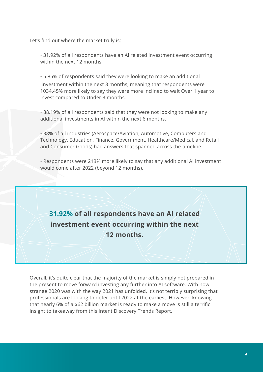Let's find out where the market truly is:

• 31.92% of all respondents have an AI related investment event occurring within the next 12 months.

• 5.85% of respondents said they were looking to make an additional investment within the next 3 months, meaning that respondents were 1034.45% more likely to say they were more inclined to wait Over 1 year to invest compared to Under 3 months.

• 88.19% of all respondents said that they were not looking to make any additional investments in AI within the next 6 months.

• 38% of all industries (Aerospace/Aviation, Automotive, Computers and Technology, Education, Finance, Government, Healthcare/Medical, and Retail and Consumer Goods) had answers that spanned across the timeline.

• Respondents were 213% more likely to say that any additional AI investment would come after 2022 (beyond 12 months).

**31.92% of all respondents have an AI related investment event occurring within the next 12 months.**

Overall, it's quite clear that the majority of the market is simply not prepared in the present to move forward investing any further into AI software. With how strange 2020 was with the way 2021 has unfolded, it's not terribly surprising that professionals are looking to defer until 2022 at the earliest. However, knowing that nearly 6% of a \$62 billion market is ready to make a move is still a terrific insight to takeaway from this Intent Discovery Trends Report.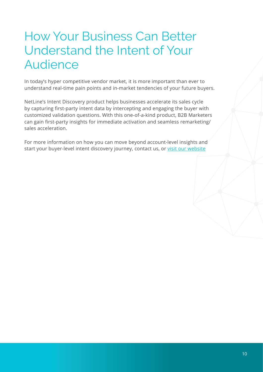# How Your Business Can Better Understand the Intent of Your Audience

In today's hyper competitive vendor market, it is more important than ever to understand real-time pain points and in-market tendencies of your future buyers.

NetLine's Intent Discovery product helps businesses accelerate its sales cycle by capturing first-party intent data by intercepting and engaging the buyer with customized validation questions. With this one-of-a-kind product, B2B Marketers can gain first-party insights for immediate activation and seamless remarketing/ sales acceleration.

For more information on how you can move beyond account-level insights and start your buyer-level intent discovery journey, contact us, or [visit our website](https://www.netline.com/intent-discovery.html?utm_source=content&utm_medium=blog&utm_campaign=210817blgcloudtrid&utm_id=210817blgcloudtrid)